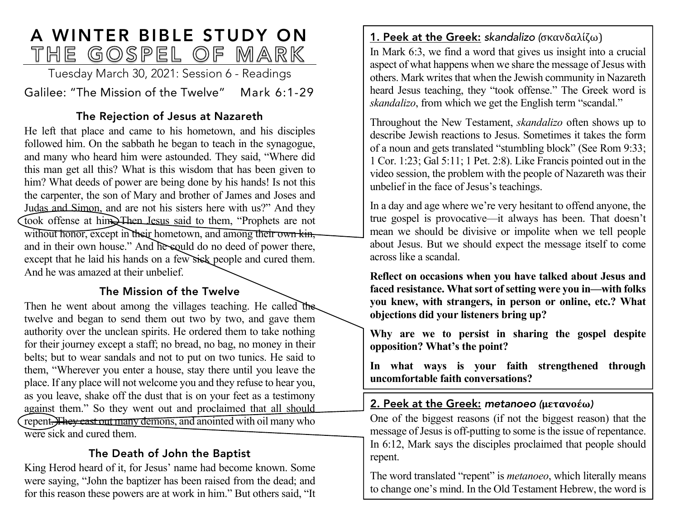# A WINTER BIBLE STUDY ON<br>THE GOSPEL OF MARK

Tuesday March 30, 2021: Session 6 - Readings Galilee: "The Mission of the Twelve" Mark 6:1-29

# The Rejection of Jesus at Nazareth

He left that place and came to his hometown, and his disciples followed him. On the sabbath he began to teach in the synagogue, and many who heard him were astounded. They said, "Where did this man get all this? What is this wisdom that has been given to him? What deeds of power are being done by his hands! Is not this the carpenter, the son of Mary and brother of James and Joses and Judas and Simon, and are not his sisters here with us?" And they took offense at him. Then Jesus said to them, "Prophets are not without honor, except in their hometown, and among their own kin, and in their own house." And he sould do no deed of power there, except that he laid his hands on a few sick people and cured them. And he was amazed at their unbelief.

#### The Mission of the Twelve

Then he went about among the villages teaching. He called the twelve and began to send them out two by two, and gave them authority over the unclean spirits. He ordered them to take nothing for their journey except a staff; no bread, no bag, no money in their belts; but to wear sandals and not to put on two tunics. He said to them, "Wherever you enter a house, stay there until you leave the place. If any place will not welcome you and they refuse to hear you, as you leave, shake off the dust that is on your feet as a testimony against them." So they went out and proclaimed that all should repent. They cast out many demons, and anointed with oil many who were sick and cured them.

# The Death of John the Baptist

King Herod heard of it, for Jesus' name had become known. Some were saying, "John the baptizer has been raised from the dead; and for this reason these powers are at work in him." But others said, "It

# 1. Peek at the Greek: *skandalizo (*σκανδαλίζω)

In Mark 6:3, we find a word that gives us insight into a crucial aspect of what happens when we share the message of Jesus with others. Mark writes that when the Jewish community in Nazareth heard Jesus teaching, they "took offense." The Greek word is *skandalizo*, from which we get the English term "scandal."

Throughout the New Testament, *skandalizo* often shows up to describe Jewish reactions to Jesus. Sometimes it takes the form of a noun and gets translated "stumbling block" (See Rom 9:33; 1 Cor. 1:23; Gal 5:11; 1 Pet. 2:8). Like Francis pointed out in the video session, the problem with the people of Nazareth was their unbelief in the face of Jesus's teachings.

In a day and age where we're very hesitant to offend anyone, the true gospel is provocative—it always has been. That doesn't mean we should be divisive or impolite when we tell people about Jesus. But we should expect the message itself to come across like a scandal.

**Reflect on occasions when you have talked about Jesus and faced resistance. What sort of setting were you in—with folks you knew, with strangers, in person or online, etc.? What objections did your listeners bring up?**

**Why are we to persist in sharing the gospel despite opposition? What's the point?**

**In what ways is your faith strengthened through uncomfortable faith conversations?**

#### 2. Peek at the Greek: *metanoeo (***μετανοέω***)*

One of the biggest reasons (if not the biggest reason) that the message of Jesus is off-putting to some is the issue of repentance. In 6:12, Mark says the disciples proclaimed that people should repent.

The word translated "repent" is *metanoeo*, which literally means to change one's mind. In the Old Testament Hebrew, the word is

shub, which means to physically turn around or turn around or turn back. If we have an order or turn back. If  $w$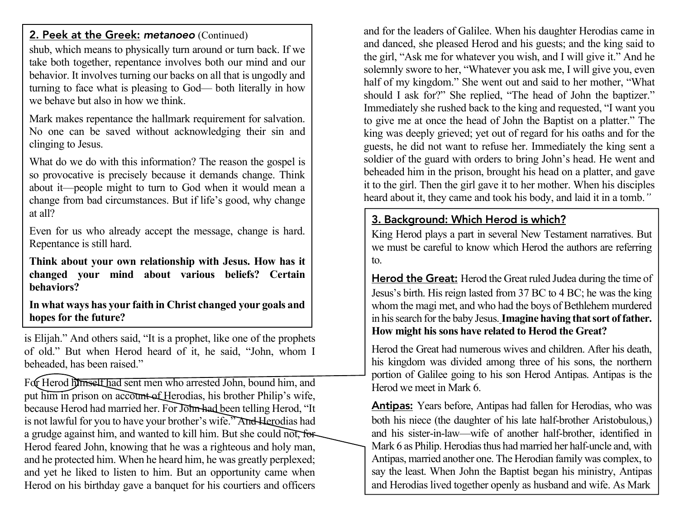#### 2. Peek at the Greek: *metanoeo* (Continued)

shub, which means to physically turn around or turn back. If we take both together, repentance involves both our mind and our behavior. It involves turning our backs on all that is ungodly and turning to face what is pleasing to God— both literally in how we behave but also in how we think.

Mark makes repentance the hallmark requirement for salvation. No one can be saved without acknowledging their sin and clinging to Jesus.

What do we do with this information? The reason the gospel is so provocative is precisely because it demands change. Think about it—people might to turn to God when it would mean a change from bad circumstances. But if life's good, why change at all?

Even for us who already accept the message, change is hard. Repentance is still hard.

**Think about your own relationship with Jesus. How has it changed your mind about various beliefs? Certain behaviors?**

**In what ways has your faith in Christ changed your goals and hopes for the future?**

is Elijah." And others said, "It is a prophet, like one of the prophets of old." But when Herod heard of it, he said, "John, whom I beheaded, has been raised."

For Herod himself had sent men who arrested John, bound him, and put him in prison on account of Herodias, his brother Philip's wife, because Herod had married her. For John had been telling Herod, "It is not lawful for you to have your brother's wife." And Herodias had a grudge against him, and wanted to kill him. But she could not, for Herod feared John, knowing that he was a righteous and holy man, and he protected him. When he heard him, he was greatly perplexed; and yet he liked to listen to him. But an opportunity came when Herod on his birthday gave a banquet for his courtiers and officers

and for the leaders of Galilee. When his daughter Herodias came in and danced, she pleased Herod and his guests; and the king said to the girl, "Ask me for whatever you wish, and I will give it." And he solemnly swore to her, "Whatever you ask me, I will give you, even half of my kingdom." She went out and said to her mother, "What should I ask for?" She replied, "The head of John the baptizer." Immediately she rushed back to the king and requested, "I want you to give me at once the head of John the Baptist on a platter." The king was deeply grieved; yet out of regard for his oaths and for the guests, he did not want to refuse her. Immediately the king sent a soldier of the guard with orders to bring John's head. He went and beheaded him in the prison, brought his head on a platter, and gave it to the girl. Then the girl gave it to her mother. When his disciples heard about it, they came and took his body, and laid it in a tomb.*"*

#### 3. Background: Which Herod is which?

King Herod plays a part in several New Testament narratives. But we must be careful to know which Herod the authors are referring to.

**Herod the Great:** Herod the Great ruled Judea during the time of Jesus's birth. His reign lasted from 37 BC to 4 BC; he was the king whom the magi met, and who had the boys of Bethlehem murdered in his search for the baby Jesus. **Imagine having that sort of father. How might his sons have related to Herod the Great?**

Herod the Great had numerous wives and children. After his death, his kingdom was divided among three of his sons, the northern portion of Galilee going to his son Herod Antipas. Antipas is the Herod we meet in Mark 6.

Antipas: Years before, Antipas had fallen for Herodias, who was both his niece (the daughter of his late half-brother Aristobulous,) and his sister-in-law—wife of another half-brother, identified in Mark 6 as Philip. Herodias thus had married her half-uncle and, with Antipas, married another one. The Herodian family was complex, to say the least. When John the Baptist began his ministry, Antipas and Herodias lived together openly as husband and wife. As Mark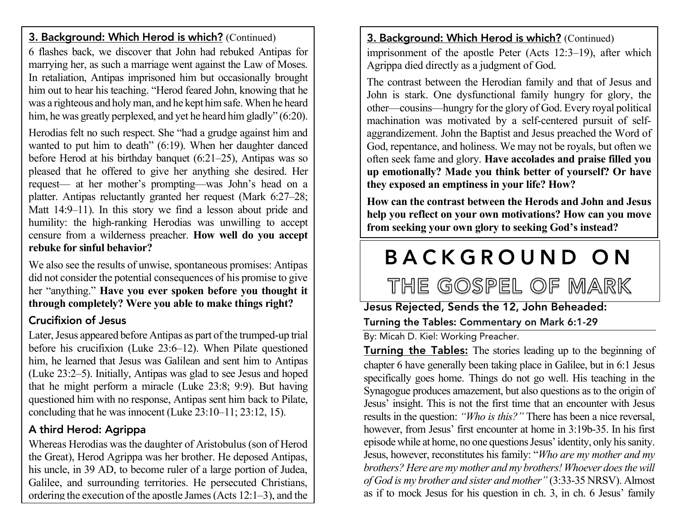### 3. Background: Which Herod is which? (Continued)

6 flashes back, we discover that John had rebuked Antipas for marrying her, as such a marriage went against the Law of Moses. In retaliation, Antipas imprisoned him but occasionally brought him out to hear his teaching. "Herod feared John, knowing that he was a righteous and holy man, and he kept him safe. When he heard him, he was greatly perplexed, and yet he heard him gladly" (6:20).

Herodias felt no such respect. She "had a grudge against him and wanted to put him to death" (6:19). When her daughter danced before Herod at his birthday banquet (6:21–25), Antipas was so pleased that he offered to give her anything she desired. Her request— at her mother's prompting—was John's head on a platter. Antipas reluctantly granted her request (Mark 6:27–28; Matt 14:9–11). In this story we find a lesson about pride and humility: the high-ranking Herodias was unwilling to accept censure from a wilderness preacher. **How well do you accept rebuke for sinful behavior?**

We also see the results of unwise, spontaneous promises: Antipas did not consider the potential consequences of his promise to give her "anything." **Have you ever spoken before you thought it through completely? Were you able to make things right?**

# Crucifixion of Jesus

Later, Jesus appeared before Antipas as part of the trumped-up trial before his crucifixion (Luke 23:6–12). When Pilate questioned him, he learned that Jesus was Galilean and sent him to Antipas (Luke 23:2–5). Initially, Antipas was glad to see Jesus and hoped that he might perform a miracle (Luke 23:8; 9:9). But having questioned him with no response, Antipas sent him back to Pilate, concluding that he was innocent (Luke 23:10–11; 23:12, 15).

# A third Herod: Agrippa

Whereas Herodias was the daughter of Aristobulus (son of Herod the Great), Herod Agrippa was her brother. He deposed Antipas, his uncle, in 39 AD, to become ruler of a large portion of Judea, Galilee, and surrounding territories. He persecuted Christians, ordering the execution of the apostle James (Acts 12:1–3), and the

imprison meter (Acts 12:3–19), after  $\alpha$  the apostle Peter (Acts 12:3–19), after which  $\alpha$ 

#### 3. Background: Which Herod is which? (Continued)

imprisonment of the apostle Peter (Acts 12:3–19), after which Agrippa died directly as a judgment of God.

The contrast between the Herodian family and that of Jesus and John is stark. One dysfunctional family hungry for glory, the other—cousins—hungry for the glory of God. Every royal political machination was motivated by a self-centered pursuit of selfaggrandizement. John the Baptist and Jesus preached the Word of God, repentance, and holiness. We may not be royals, but often we often seek fame and glory. **Have accolades and praise filled you up emotionally? Made you think better of yourself? Or have they exposed an emptiness in your life? How?**

**How can the contrast between the Herods and John and Jesus help you reflect on your own motivations? How can you move from seeking your own glory to seeking God's instead?**

# BACKGROUND ON

THE GOSPEL OF MARK

# Jesus Rejected, Sends the 12, John Beheaded: Turning the Tables: Commentary on Mark 6:1-29

By: Micah D. Kiel: Working Preacher.

Turning the Tables: The stories leading up to the beginning of chapter 6 have generally been taking place in Galilee, but in 6:1 Jesus specifically goes home. Things do not go well. His teaching in the Synagogue produces amazement, but also questions as to the origin of Jesus' insight. This is not the first time that an encounter with Jesus results in the question: *"Who is this?"* There has been a nice reversal, however, from Jesus' first encounter at home in 3:19b-35. In his first episode while at home, no one questions Jesus' identity, only his sanity. Jesus, however, reconstitutes his family: "*Who are my mother and my brothers? Here are my mother and my brothers! Whoever does the will of God is my brother and sister and mother"* (3:33-35 NRSV). Almost as if to mock Jesus for his question in ch. 3, in ch. 6 Jesus' family